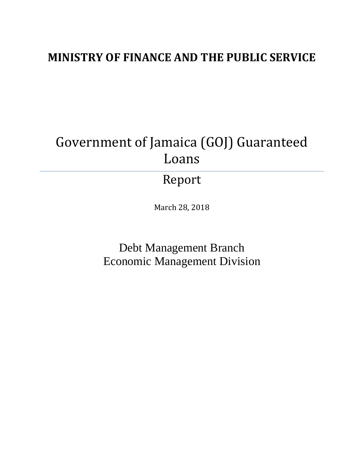## **MINISTRY OF FINANCE AND THE PUBLIC SERVICE**

# Government of Jamaica (GOJ) Guaranteed Loans

## Report

March 28, 2018

Debt Management Branch Economic Management Division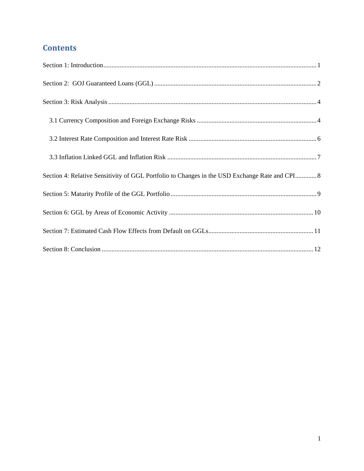## **Contents**

| Section 4: Relative Sensitivity of GGL Portfolio to Changes in the USD Exchange Rate and CPI 8 |
|------------------------------------------------------------------------------------------------|
|                                                                                                |
|                                                                                                |
|                                                                                                |
|                                                                                                |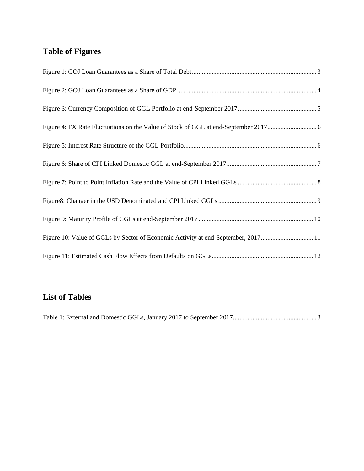## **Table of Figures**

| Figure 10: Value of GGLs by Sector of Economic Activity at end-September, 201711 |
|----------------------------------------------------------------------------------|
|                                                                                  |

### **List of Tables**

|--|--|--|--|--|--|--|--|--|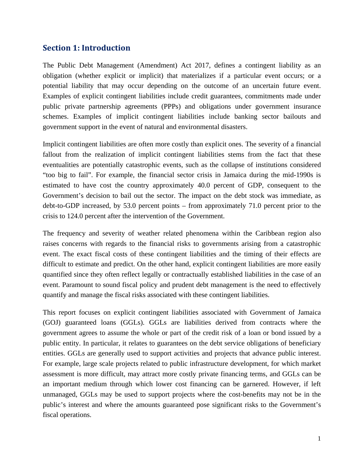#### **Section 1: Introduction**

The Public Debt Management (Amendment) Act 2017, defines a contingent liability as an obligation (whether explicit or implicit) that materializes if a particular event occurs; or a potential liability that may occur depending on the outcome of an uncertain future event. Examples of explicit contingent liabilities include credit guarantees, commitments made under public private partnership agreements (PPPs) and obligations under government insurance schemes. Examples of implicit contingent liabilities include banking sector bailouts and government support in the event of natural and environmental disasters.

Implicit contingent liabilities are often more costly than explicit ones. The severity of a financial fallout from the realization of implicit contingent liabilities stems from the fact that these eventualities are potentially catastrophic events, such as the collapse of institutions considered "too big to fail". For example, the financial sector crisis in Jamaica during the mid-1990s is estimated to have cost the country approximately 40.0 percent of GDP, consequent to the Government's decision to bail out the sector. The impact on the debt stock was immediate, as debt-to-GDP increased, by 53.0 percent points – from approximately 71.0 percent prior to the crisis to 124.0 percent after the intervention of the Government.

The frequency and severity of weather related phenomena within the Caribbean region also raises concerns with regards to the financial risks to governments arising from a catastrophic event. The exact fiscal costs of these contingent liabilities and the timing of their effects are difficult to estimate and predict. On the other hand, explicit contingent liabilities are more easily quantified since they often reflect legally or contractually established liabilities in the case of an event. Paramount to sound fiscal policy and prudent debt management is the need to effectively quantify and manage the fiscal risks associated with these contingent liabilities.

This report focuses on explicit contingent liabilities associated with Government of Jamaica (GOJ) guaranteed loans (GGLs). GGLs are liabilities derived from contracts where the government agrees to assume the whole or part of the credit risk of a loan or bond issued by a public entity. In particular, it relates to guarantees on the debt service obligations of beneficiary entities. GGLs are generally used to support activities and projects that advance public interest. For example, large scale projects related to public infrastructure development, for which market assessment is more difficult, may attract more costly private financing terms, and GGLs can be an important medium through which lower cost financing can be garnered. However, if left unmanaged, GGLs may be used to support projects where the cost-benefits may not be in the public's interest and where the amounts guaranteed pose significant risks to the Government's fiscal operations.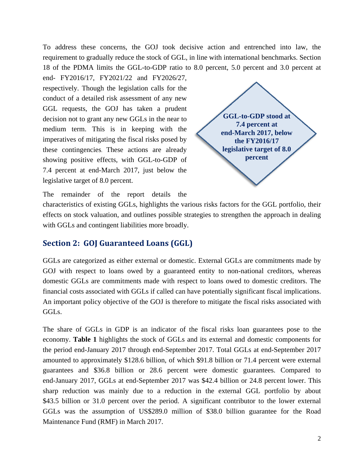To address these concerns, the GOJ took decisive action and entrenched into law, the requirement to gradually reduce the stock of GGL, in line with international benchmarks. Section 18 of the PDMA limits the GGL-to-GDP ratio to 8.0 percent, 5.0 percent and 3.0 percent at

end- FY2016/17, FY2021/22 and FY2026/27, respectively. Though the legislation calls for the conduct of a detailed risk assessment of any new GGL requests, the GOJ has taken a prudent decision not to grant any new GGLs in the near to medium term. This is in keeping with the imperatives of mitigating the fiscal risks posed by these contingencies. These actions are already showing positive effects, with GGL-to-GDP of 7.4 percent at end-March 2017, just below the legislative target of 8.0 percent.



The remainder of the report details the

characteristics of existing GGLs, highlights the various risks factors for the GGL portfolio, their effects on stock valuation, and outlines possible strategies to strengthen the approach in dealing with GGLs and contingent liabilities more broadly.

#### **Section 2: GOJ Guaranteed Loans (GGL)**

GGLs are categorized as either external or domestic. External GGLs are commitments made by GOJ with respect to loans owed by a guaranteed entity to non-national creditors, whereas domestic GGLs are commitments made with respect to loans owed to domestic creditors. The financial costs associated with GGLs if called can have potentially significant fiscal implications. An important policy objective of the GOJ is therefore to mitigate the fiscal risks associated with GGLs.

The share of GGLs in GDP is an indicator of the fiscal risks loan guarantees pose to the economy. **Table 1** highlights the stock of GGLs and its external and domestic components for the period end-January 2017 through end-September 2017. Total GGLs at end-September 2017 amounted to approximately \$128.6 billion, of which \$91.8 billion or 71.4 percent were external guarantees and \$36.8 billion or 28.6 percent were domestic guarantees. Compared to end-January 2017, GGLs at end-September 2017 was \$42.4 billion or 24.8 percent lower. This sharp reduction was mainly due to a reduction in the external GGL portfolio by about \$43.5 billion or 31.0 percent over the period. A significant contributor to the lower external GGLs was the assumption of US\$289.0 million of \$38.0 billion guarantee for the Road Maintenance Fund (RMF) in March 2017.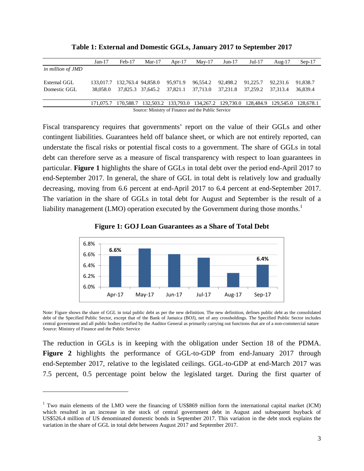|                                                    | $Jan-17$  | $Feb-17$                     | $Mar-17$          | Apr- $17$ | $May-17$ | $Jun-17$ | $Jul-17$ | Aug- $17$                                                                       | $Sep-17$ |
|----------------------------------------------------|-----------|------------------------------|-------------------|-----------|----------|----------|----------|---------------------------------------------------------------------------------|----------|
| in million of JMD                                  |           |                              |                   |           |          |          |          |                                                                                 |          |
|                                                    |           |                              |                   |           |          |          |          |                                                                                 |          |
| External GGL                                       |           | 133,017.7 132,763.4 94,858.0 |                   | 95.971.9  | 96.554.2 | 92.498.2 | 91.225.7 | 92.231.6                                                                        | 91.838.7 |
| Domestic GGL                                       | 38.058.0  |                              | 37,825.3 37,645.2 | 37.821.1  | 37.713.0 | 37.231.8 | 37.259.2 | 37.313.4                                                                        | 36,839.4 |
|                                                    |           |                              |                   |           |          |          |          |                                                                                 |          |
|                                                    | 171,075.7 |                              |                   |           |          |          |          | 170,588.7 132,503.2 133,793.0 134,267.2 129,730.0 128,484.9 129,545.0 128,678.1 |          |
| Source: Ministry of Finance and the Public Service |           |                              |                   |           |          |          |          |                                                                                 |          |

**Table 1: External and Domestic GGLs, January 2017 to September 2017** 

Fiscal transparency requires that governments' report on the value of their GGLs and other contingent liabilities. Guarantees held off balance sheet, or which are not entirely reported, can understate the fiscal risks or potential fiscal costs to a government. The share of GGLs in total debt can therefore serve as a measure of fiscal transparency with respect to loan guarantees in particular. **Figure 1** highlights the share of GGLs in total debt over the period end-April 2017 to end-September 2017. In general, the share of GGL in total debt is relatively low and gradually decreasing, moving from 6.6 percent at end-April 2017 to 6.4 percent at end-September 2017. The variation in the share of GGLs in total debt for August and September is the result of a liability management (LMO) operation executed by the Government during those months.<sup>1</sup>





Note: Figure shows the share of GGL in total public debt as per the new definition. The new definition, defines public debt as the consolidated debt of the Specified Public Sector, except that of the Bank of Jamaica (BOJ), net of any crossholdings. The Specified Public Sector includes central government and all public bodies certified by the Auditor General as primarily carrying out functions that are of a non-commercial nature Source: Ministry of Finance and the Public Service

The reduction in GGLs is in keeping with the obligation under Section 18 of the PDMA. **Figure 2** highlights the performance of GGL-to-GDP from end-January 2017 through end-September 2017, relative to the legislated ceilings. GGL-to-GDP at end-March 2017 was 7.5 percent, 0.5 percentage point below the legislated target. During the first quarter of

l

<sup>&</sup>lt;sup>1</sup> Two main elements of the LMO were the financing of US\$869 million form the international capital market (ICM) which resulted in an increase in the stock of central government debt in August and subsequent buyback of US\$526.4 million of US denominated domestic bonds in September 2017. This variation in the debt stock explains the variation in the share of GGL in total debt between August 2017 and September 2017.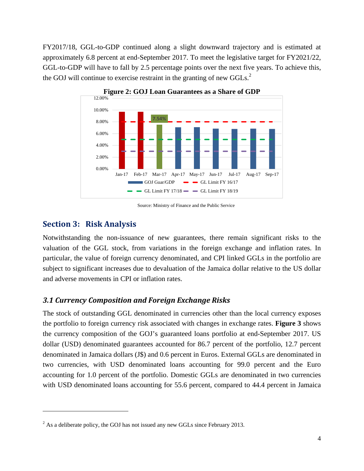FY2017/18, GGL-to-GDP continued along a slight downward trajectory and is estimated at approximately 6.8 percent at end-September 2017. To meet the legislative target for FY2021/22, GGL-to-GDP will have to fall by 2.5 percentage points over the next five years. To achieve this, the GOJ will continue to exercise restraint in the granting of new GGLs. $^{2}$ 



**Figure 2: GOJ Loan Guarantees as a Share of GDP**

Source: Ministry of Finance and the Public Service

#### **Section 3: Risk Analysis**

l

Notwithstanding the non-issuance of new guarantees, there remain significant risks to the valuation of the GGL stock, from variations in the foreign exchange and inflation rates. In particular, the value of foreign currency denominated, and CPI linked GGLs in the portfolio are subject to significant increases due to devaluation of the Jamaica dollar relative to the US dollar and adverse movements in CPI or inflation rates.

#### *3.1 Currency Composition and Foreign Exchange Risks*

The stock of outstanding GGL denominated in currencies other than the local currency exposes the portfolio to foreign currency risk associated with changes in exchange rates. **Figure 3** shows the currency composition of the GOJ's guaranteed loans portfolio at end-September 2017. US dollar (USD) denominated guarantees accounted for 86.7 percent of the portfolio, 12.7 percent denominated in Jamaica dollars (J\$) and 0.6 percent in Euros. External GGLs are denominated in two currencies, with USD denominated loans accounting for 99.0 percent and the Euro accounting for 1.0 percent of the portfolio. Domestic GGLs are denominated in two currencies with USD denominated loans accounting for 55.6 percent, compared to 44.4 percent in Jamaica

 $2^{2}$  As a deliberate policy, the GOJ has not issued any new GGLs since February 2013.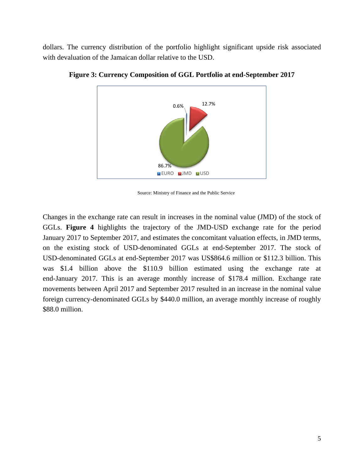dollars. The currency distribution of the portfolio highlight significant upside risk associated with devaluation of the Jamaican dollar relative to the USD.



**Figure 3: Currency Composition of GGL Portfolio at end-September 2017** 

Source: Ministry of Finance and the Public Service

Changes in the exchange rate can result in increases in the nominal value (JMD) of the stock of GGLs. **Figure 4** highlights the trajectory of the JMD-USD exchange rate for the period January 2017 to September 2017, and estimates the concomitant valuation effects, in JMD terms, on the existing stock of USD-denominated GGLs at end-September 2017. The stock of USD-denominated GGLs at end-September 2017 was US\$864.6 million or \$112.3 billion. This was \$1.4 billion above the \$110.9 billion estimated using the exchange rate at end-January 2017. This is an average monthly increase of \$178.4 million. Exchange rate movements between April 2017 and September 2017 resulted in an increase in the nominal value foreign currency-denominated GGLs by \$440.0 million, an average monthly increase of roughly \$88.0 million.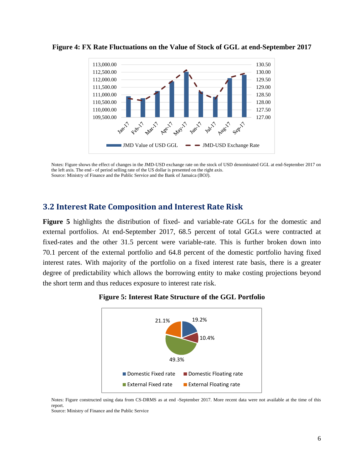

**Figure 4: FX Rate Fluctuations on the Value of Stock of GGL at end-September 2017** 

Notes: Figure shows the effect of changes in the JMD-USD exchange rate on the stock of USD denominated GGL at end-September 2017 on the left axis. The end - of period selling rate of the US dollar is presented on the right axis. Source: Ministry of Finance and the Public Service and the Bank of Jamaica (BOJ).

#### **3.2 Interest Rate Composition and Interest Rate Risk**

**Figure 5** highlights the distribution of fixed- and variable-rate GGLs for the domestic and external portfolios. At end-September 2017, 68.5 percent of total GGLs were contracted at fixed-rates and the other 31.5 percent were variable-rate. This is further broken down into 70.1 percent of the external portfolio and 64.8 percent of the domestic portfolio having fixed interest rates. With majority of the portfolio on a fixed interest rate basis, there is a greater degree of predictability which allows the borrowing entity to make costing projections beyond the short term and thus reduces exposure to interest rate risk.





Notes: Figure constructed using data from CS-DRMS as at end -September 2017. More recent data were not available at the time of this report.

Source: Ministry of Finance and the Public Service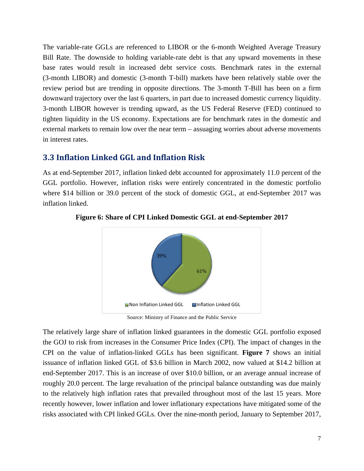The variable-rate GGLs are referenced to LIBOR or the 6-month Weighted Average Treasury Bill Rate. The downside to holding variable-rate debt is that any upward movements in these base rates would result in increased debt service costs. Benchmark rates in the external (3-month LIBOR) and domestic (3-month T-bill) markets have been relatively stable over the review period but are trending in opposite directions. The 3-month T-Bill has been on a firm downward trajectory over the last 6 quarters, in part due to increased domestic currency liquidity. 3-month LIBOR however is trending upward, as the US Federal Reserve (FED) continued to tighten liquidity in the US economy. Expectations are for benchmark rates in the domestic and external markets to remain low over the near term – assuaging worries about adverse movements in interest rates.

#### **3.3 Inflation Linked GGL and Inflation Risk**

As at end-September 2017, inflation linked debt accounted for approximately 11.0 percent of the GGL portfolio. However, inflation risks were entirely concentrated in the domestic portfolio where \$14 billion or 39.0 percent of the stock of domestic GGL, at end-September 2017 was inflation linked.



**Figure 6: Share of CPI Linked Domestic GGL at end-September 2017** 

Source: Ministry of Finance and the Public Service

The relatively large share of inflation linked guarantees in the domestic GGL portfolio exposed the GOJ to risk from increases in the Consumer Price Index (CPI). The impact of changes in the CPI on the value of inflation-linked GGLs has been significant. **Figure 7** shows an initial issuance of inflation linked GGL of \$3.6 billion in March 2002, now valued at \$14.2 billion at end-September 2017. This is an increase of over \$10.0 billion, or an average annual increase of roughly 20.0 percent. The large revaluation of the principal balance outstanding was due mainly to the relatively high inflation rates that prevailed throughout most of the last 15 years. More recently however, lower inflation and lower inflationary expectations have mitigated some of the risks associated with CPI linked GGLs. Over the nine-month period, January to September 2017,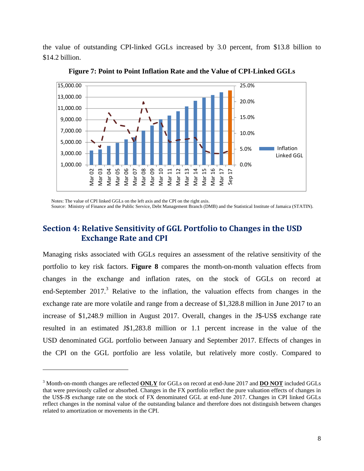the value of outstanding CPI-linked GGLs increased by 3.0 percent, from \$13.8 billion to \$14.2 billion.



**Figure 7: Point to Point Inflation Rate and the Value of CPI-Linked GGLs** 

Notes: The value of CPI linked GGLs on the left axis and the CPI on the right axis.

l

Source: Ministry of Finance and the Public Service, Debt Management Branch (DMB) and the Statistical Institute of Jamaica (STATIN).

#### **Section 4: Relative Sensitivity of GGL Portfolio to Changes in the USD Exchange Rate** and **CPI**

Managing risks associated with GGLs requires an assessment of the relative sensitivity of the portfolio to key risk factors. **Figure 8** compares the month-on-month valuation effects from changes in the exchange and inflation rates, on the stock of GGLs on record at end-September 2017.<sup>3</sup> Relative to the inflation, the valuation effects from changes in the exchange rate are more volatile and range from a decrease of \$1,328.8 million in June 2017 to an increase of \$1,248.9 million in August 2017. Overall, changes in the J\$-US\$ exchange rate resulted in an estimated J\$1,283.8 million or 1.1 percent increase in the value of the USD denominated GGL portfolio between January and September 2017. Effects of changes in the CPI on the GGL portfolio are less volatile, but relatively more costly. Compared to

<sup>3</sup> Month-on-month changes are reflected **ONLY** for GGLs on record at end-June 2017 and **DO NOT** included GGLs that were previously called or absorbed. Changes in the FX portfolio reflect the pure valuation effects of changes in the US\$-J\$ exchange rate on the stock of FX denominated GGL at end-June 2017. Changes in CPI linked GGLs reflect changes in the nominal value of the outstanding balance and therefore does not distinguish between changes related to amortization or movements in the CPI.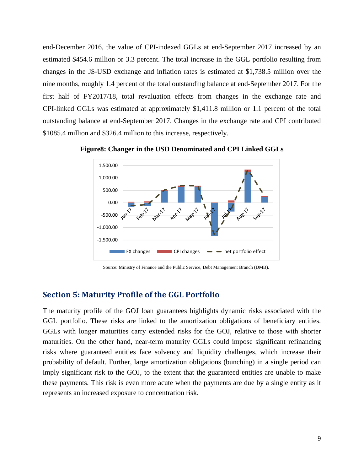end-December 2016, the value of CPI-indexed GGLs at end-September 2017 increased by an estimated \$454.6 million or 3.3 percent. The total increase in the GGL portfolio resulting from changes in the J\$-USD exchange and inflation rates is estimated at \$1,738.5 million over the nine months, roughly 1.4 percent of the total outstanding balance at end-September 2017. For the first half of FY2017/18, total revaluation effects from changes in the exchange rate and CPI-linked GGLs was estimated at approximately \$1,411.8 million or 1.1 percent of the total outstanding balance at end-September 2017. Changes in the exchange rate and CPI contributed \$1085.4 million and \$326.4 million to this increase, respectively.





Source: Ministry of Finance and the Public Service, Debt Management Branch (DMB).

#### **Section 5: Maturity Profile of the GGL Portfolio**

The maturity profile of the GOJ loan guarantees highlights dynamic risks associated with the GGL portfolio. These risks are linked to the amortization obligations of beneficiary entities. GGLs with longer maturities carry extended risks for the GOJ, relative to those with shorter maturities. On the other hand, near-term maturity GGLs could impose significant refinancing risks where guaranteed entities face solvency and liquidity challenges, which increase their probability of default. Further, large amortization obligations (bunching) in a single period can imply significant risk to the GOJ, to the extent that the guaranteed entities are unable to make these payments. This risk is even more acute when the payments are due by a single entity as it represents an increased exposure to concentration risk.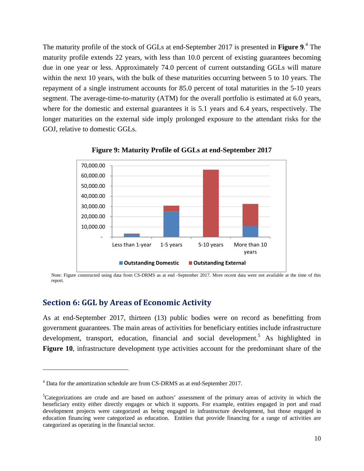The maturity profile of the stock of GGLs at end-September 2017 is presented in **Figure 9**. 4 The maturity profile extends 22 years, with less than 10.0 percent of existing guarantees becoming due in one year or less. Approximately 74.0 percent of current outstanding GGLs will mature within the next 10 years, with the bulk of these maturities occurring between 5 to 10 years. The repayment of a single instrument accounts for 85.0 percent of total maturities in the 5-10 years segment. The average-time-to-maturity (ATM) for the overall portfolio is estimated at 6.0 years, where for the domestic and external guarantees it is 5.1 years and 6.4 years, respectively. The longer maturities on the external side imply prolonged exposure to the attendant risks for the GOJ, relative to domestic GGLs.



**Figure 9: Maturity Profile of GGLs at end-September 2017** 

Note: Figure constructed using data from CS-DRMS as at end -September 2017. More recent data were not available at the time of this report.

#### **Section 6: GGL by Areas of Economic Activity**

l

As at end-September 2017, thirteen (13) public bodies were on record as benefitting from government guarantees. The main areas of activities for beneficiary entities include infrastructure development, transport, education, financial and social development.<sup>5</sup> As highlighted in **Figure 10**, infrastructure development type activities account for the predominant share of the

<sup>&</sup>lt;sup>4</sup> Data for the amortization schedule are from CS-DRMS as at end-September 2017.

<sup>&</sup>lt;sup>5</sup>Categorizations are crude and are based on authors' assessment of the primary areas of activity in which the beneficiary entity either directly engages or which it supports. For example, entities engaged in port and road development projects were categorized as being engaged in infrastructure development, but those engaged in education financing were categorized as education. Entities that provide financing for a range of activities are categorized as operating in the financial sector.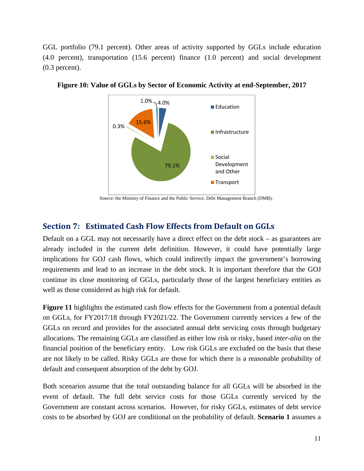GGL portfolio (79.1 percent). Other areas of activity supported by GGLs include education (4.0 percent), transportation (15.6 percent) finance (1.0 percent) and social development (0.3 percent).



**Figure 10: Value of GGLs by Sector of Economic Activity at end-September, 2017** 

Source: the Ministry of Finance and the Public Service, Debt Management Branch (DMB).

#### **Section 7: Estimated Cash Flow Effects from Default on GGLs**

Default on a GGL may not necessarily have a direct effect on the debt stock – as guarantees are already included in the current debt definition. However, it could have potentially large implications for GOJ cash flows, which could indirectly impact the government's borrowing requirements and lead to an increase in the debt stock. It is important therefore that the GOJ continue its close monitoring of GGLs, particularly those of the largest beneficiary entities as well as those considered as high risk for default.

**Figure 11** highlights the estimated cash flow effects for the Government from a potential default on GGLs, for FY2017/18 through FY2021/22. The Government currently services a few of the GGLs on record and provides for the associated annual debt servicing costs through budgetary allocations. The remaining GGLs are classified as either low risk or risky, based *inter-alia* on the financial position of the beneficiary entity. Low risk GGLs are excluded on the basis that these are not likely to be called. Risky GGLs are those for which there is a reasonable probability of default and consequent absorption of the debt by GOJ.

Both scenarios assume that the total outstanding balance for all GGLs will be absorbed in the event of default. The full debt service costs for those GGLs currently serviced by the Government are constant across scenarios. However, for risky GGLs, estimates of debt service costs to be absorbed by GOJ are conditional on the probability of default. **Scenario 1** assumes a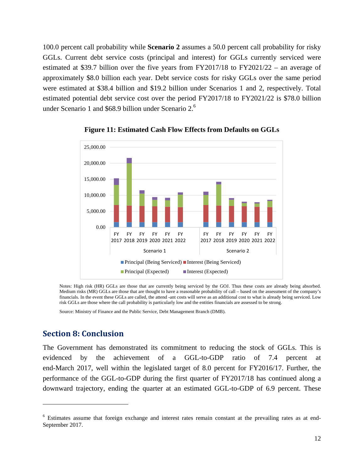100.0 percent call probability while **Scenario 2** assumes a 50.0 percent call probability for risky GGLs. Current debt service costs (principal and interest) for GGLs currently serviced were estimated at \$39.7 billion over the five years from FY2017/18 to FY2021/22 – an average of approximately \$8.0 billion each year. Debt service costs for risky GGLs over the same period were estimated at \$38.4 billion and \$19.2 billion under Scenarios 1 and 2, respectively. Total estimated potential debt service cost over the period FY2017/18 to FY2021/22 is \$78.0 billion under Scenario 1 and \$68.9 billion under Scenario 2.<sup>6</sup>



**Figure 11: Estimated Cash Flow Effects from Defaults on GGLs** 

Notes: High risk (HR) GGLs are those that are currently being serviced by the GOJ. Thus these costs are already being absorbed. Medium risks (MR) GGLs are those that are thought to have a reasonable probability of call – based on the assessment of the company's financials. In the event these GGLs are called, the attend -ant costs will serve as an additional cost to what is already being serviced. Low risk GGLs are those where the call probability is particularly low and the entities financials are assessed to be strong.

Source: Ministry of Finance and the Public Service, Debt Management Branch (DMB).

#### **Section 8: Conclusion**

l

The Government has demonstrated its commitment to reducing the stock of GGLs. This is evidenced by the achievement of a GGL-to-GDP ratio of 7.4 percent at end-March 2017, well within the legislated target of 8.0 percent for FY2016/17. Further, the performance of the GGL-to-GDP during the first quarter of FY2017/18 has continued along a downward trajectory, ending the quarter at an estimated GGL-to-GDP of 6.9 percent. These

<sup>&</sup>lt;sup>6</sup> Estimates assume that foreign exchange and interest rates remain constant at the prevailing rates as at end-September 2017.